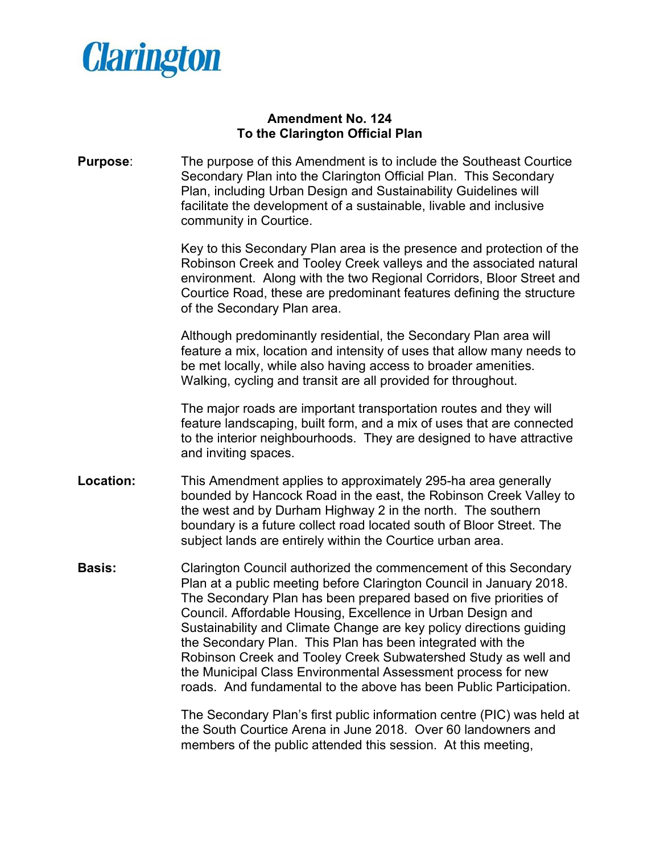

## **Amendment No. 124 To the Clarington Official Plan**

**Purpose**: The purpose of this Amendment is to include the Southeast Courtice Secondary Plan into the Clarington Official Plan. This Secondary Plan, including Urban Design and Sustainability Guidelines will facilitate the development of a sustainable, livable and inclusive community in Courtice.

> Key to this Secondary Plan area is the presence and protection of the Robinson Creek and Tooley Creek valleys and the associated natural environment. Along with the two Regional Corridors, Bloor Street and Courtice Road, these are predominant features defining the structure of the Secondary Plan area.

> Although predominantly residential, the Secondary Plan area will feature a mix, location and intensity of uses that allow many needs to be met locally, while also having access to broader amenities. Walking, cycling and transit are all provided for throughout.

> The major roads are important transportation routes and they will feature landscaping, built form, and a mix of uses that are connected to the interior neighbourhoods. They are designed to have attractive and inviting spaces.

- **Location:** This Amendment applies to approximately 295-ha area generally bounded by Hancock Road in the east, the Robinson Creek Valley to the west and by Durham Highway 2 in the north. The southern boundary is a future collect road located south of Bloor Street. The subject lands are entirely within the Courtice urban area.
- **Basis:** Clarington Council authorized the commencement of this Secondary Plan at a public meeting before Clarington Council in January 2018. The Secondary Plan has been prepared based on five priorities of Council. Affordable Housing, Excellence in Urban Design and Sustainability and Climate Change are key policy directions guiding the Secondary Plan. This Plan has been integrated with the Robinson Creek and Tooley Creek Subwatershed Study as well and the Municipal Class Environmental Assessment process for new roads. And fundamental to the above has been Public Participation.

The Secondary Plan's first public information centre (PIC) was held at the South Courtice Arena in June 2018. Over 60 landowners and members of the public attended this session. At this meeting,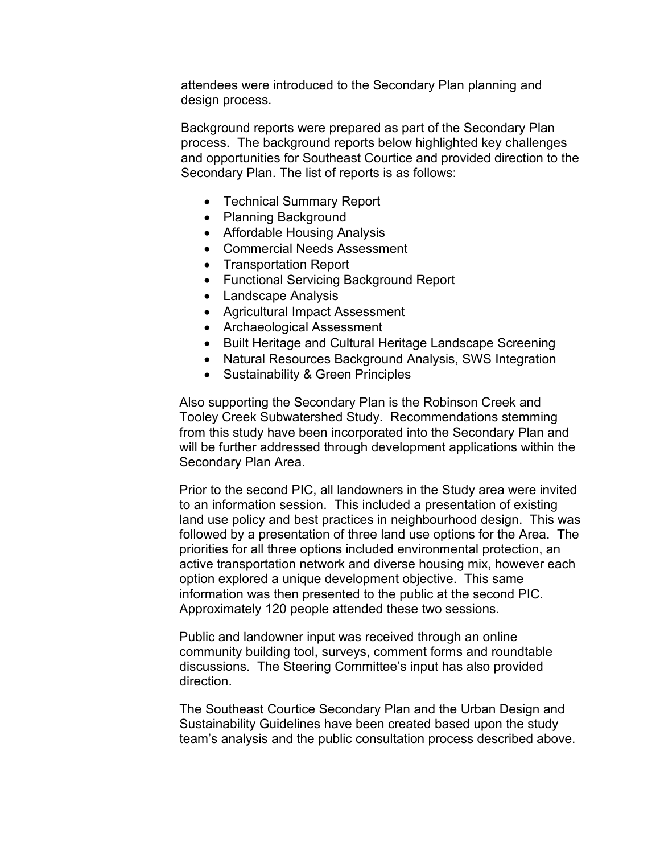attendees were introduced to the Secondary Plan planning and design process.

Background reports were prepared as part of the Secondary Plan process. The background reports below highlighted key challenges and opportunities for Southeast Courtice and provided direction to the Secondary Plan. The list of reports is as follows:

- Technical Summary Report
- Planning Background
- Affordable Housing Analysis
- Commercial Needs Assessment
- Transportation Report
- Functional Servicing Background Report
- Landscape Analysis
- Agricultural Impact Assessment
- Archaeological Assessment
- Built Heritage and Cultural Heritage Landscape Screening
- Natural Resources Background Analysis, SWS Integration
- Sustainability & Green Principles

Also supporting the Secondary Plan is the Robinson Creek and Tooley Creek Subwatershed Study. Recommendations stemming from this study have been incorporated into the Secondary Plan and will be further addressed through development applications within the Secondary Plan Area.

Prior to the second PIC, all landowners in the Study area were invited to an information session. This included a presentation of existing land use policy and best practices in neighbourhood design. This was followed by a presentation of three land use options for the Area. The priorities for all three options included environmental protection, an active transportation network and diverse housing mix, however each option explored a unique development objective. This same information was then presented to the public at the second PIC. Approximately 120 people attended these two sessions.

Public and landowner input was received through an online community building tool, surveys, comment forms and roundtable discussions. The Steering Committee's input has also provided direction.

The Southeast Courtice Secondary Plan and the Urban Design and Sustainability Guidelines have been created based upon the study team's analysis and the public consultation process described above.